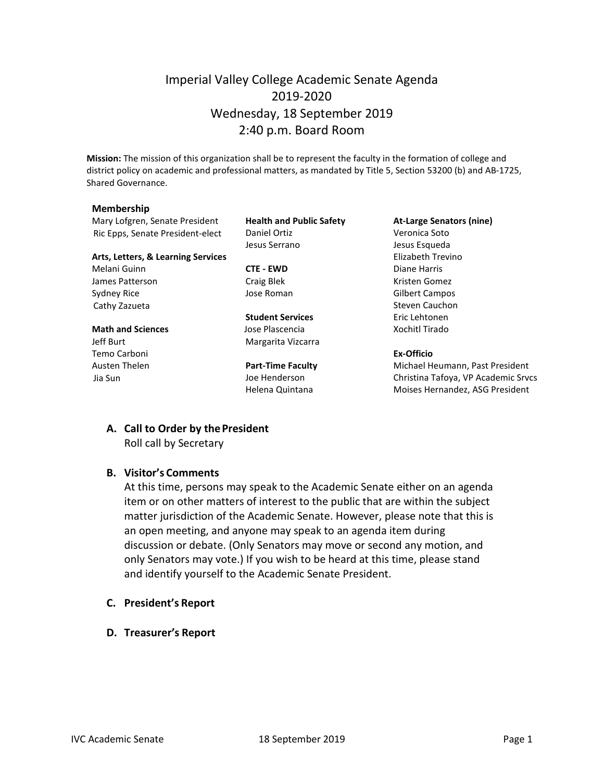## Imperial Valley College Academic Senate Agenda 2019-2020 Wednesday, 18 September 2019 2:40 p.m. Board Room

**Mission:** The mission of this organization shall be to represent the faculty in the formation of college and district policy on academic and professional matters, as mandated by Title 5, Section 53200 (b) and AB-1725, Shared Governance.

#### **Membership**

Mary Lofgren, Senate President **Health and Public Safety At-Large Senators (nine)** Ric Epps, Senate President-elect Daniel Ortiz Christian Muslem Veronica Soto

#### **Arts, Letters, & Learning Services** Elizabeth Trevino

Melani Guinn **CTE - EWD** Diane Harris James Patterson **Craig Blek** Craig Blek Kristen Gomez Sydney Rice **Symbol Sydney Rice** Jose Roman **Gilbert Campos** Gilbert Campos Cathy Zazueta **Steven Cauchon** Steven Cauchon

### **Math and Sciences Contains Islam Jose Plascencia Xochitl Tirado** Jeff Burt **Margarita Vizcarra**

Temo Carboni **Ex-Officio**

Jesus Serrano Jesus Esqueda

**Student Services** Eric Lehtonen

Austen Thelen **Part-Time Faculty** Michael Heumann, Past President Jia Sun Joe Henderson Christina Tafoya, VP Academic Srvcs Helena Quintana **Moises Hernandez**, ASG President

# **A. Call to Order by thePresident**

Roll call by Secretary

#### **B. Visitor's Comments**

At this time, persons may speak to the Academic Senate either on an agenda item or on other matters of interest to the public that are within the subject matter jurisdiction of the Academic Senate. However, please note that this is an open meeting, and anyone may speak to an agenda item during discussion or debate. (Only Senators may move or second any motion, and only Senators may vote.) If you wish to be heard at this time, please stand and identify yourself to the Academic Senate President.

- **C. President's Report**
- **D. Treasurer's Report**